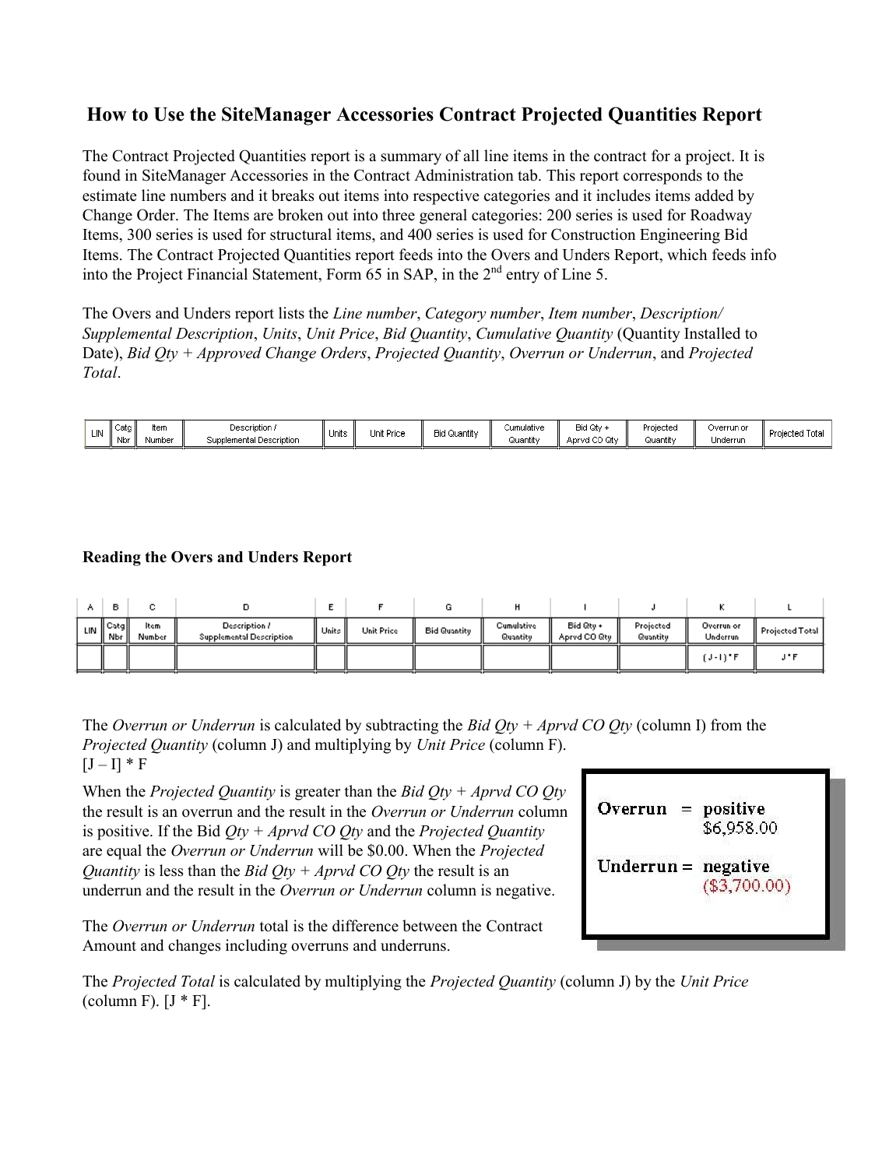# **How to Use the SiteManager Accessories Contract Projected Quantities Report**

The Contract Projected Quantities report is a summary of all line items in the contract for a project. It is found in SiteManager Accessories in the Contract Administration tab. This report corresponds to the estimate line numbers and it breaks out items into respective categories and it includes items added by Change Order. The Items are broken out into three general categories: 200 series is used for Roadway Items, 300 series is used for structural items, and 400 series is used for Construction Engineering Bid Items. The Contract Projected Quantities report feeds into the Overs and Unders Report, which feeds info into the Project Financial Statement, Form 65 in SAP, in the 2<sup>nd</sup> entry of Line 5.

The Overs and Unders report lists the *Line number*, *Category number*, *Item number*, *Description/ Supplemental Description*, *Units*, *Unit Price*, *Bid Quantity*, *Cumulative Quantity* (Quantity Installed to Date), *Bid Qty + Approved Change Orders*, *Projected Quantity*, *Overrun or Underrun*, and *Projected Total*.

| Cata<br>cΜ<br>Nbr | ltern<br>Number | Description<br>l Description<br>Supplemental | Units | Unit Price | <b>Bid Quantit</b> | Cumulative<br>-Quantit⊻ | Bid Qty<br>$\sim$<br>൶<br>Aprvd CO<br>wл | Projecteo<br>$\sim$ $\sim$<br>Quantit <sup>,</sup> | Overrun or<br>Underrun | Yojectea :<br>ιστa |
|-------------------|-----------------|----------------------------------------------|-------|------------|--------------------|-------------------------|------------------------------------------|----------------------------------------------------|------------------------|--------------------|
|-------------------|-----------------|----------------------------------------------|-------|------------|--------------------|-------------------------|------------------------------------------|----------------------------------------------------|------------------------|--------------------|

# **Reading the Overs and Unders Report**

| lin II | Catall<br>Nbr li | ltem<br>Number | Description /<br><b>Supplemental Description</b> | II Units I | <b>Unit Price</b> | <b>Bid Quantity</b> | Cumulative<br>Quantity | Bid Qtu +<br>Aprvd CO Qty | Projected<br>Quantity | Overrun or<br>Underrun | Projected Total |
|--------|------------------|----------------|--------------------------------------------------|------------|-------------------|---------------------|------------------------|---------------------------|-----------------------|------------------------|-----------------|
|        |                  |                |                                                  |            |                   |                     |                        |                           |                       | $(J-1)$ " $F$          | $\cdots$        |

The *Overrun or Underrun* is calculated by subtracting the *Bid Qty + Aprvd CO Qty* (column I) from the *Projected Quantity* (column J) and multiplying by *Unit Price* (column F).  $[J - I] * F$ 

When the *Projected Quantity* is greater than the *Bid Qty + Aprvd CO Qty*  the result is an overrun and the result in the *Overrun or Underrun* column is positive. If the Bid *Qty + Aprvd CO Qty* and the *Projected Quantity*  are equal the *Overrun or Underrun* will be \$0.00. When the *Projected Quantity* is less than the *Bid Qty + Aprvd CO Qty* the result is an underrun and the result in the *Overrun or Underrun* column is negative.

The *Overrun or Underrun* total is the difference between the Contract Amount and changes including overruns and underruns.



The *Projected Total* is calculated by multiplying the *Projected Quantity* (column J) by the *Unit Price*  (column F).  $[J * F]$ .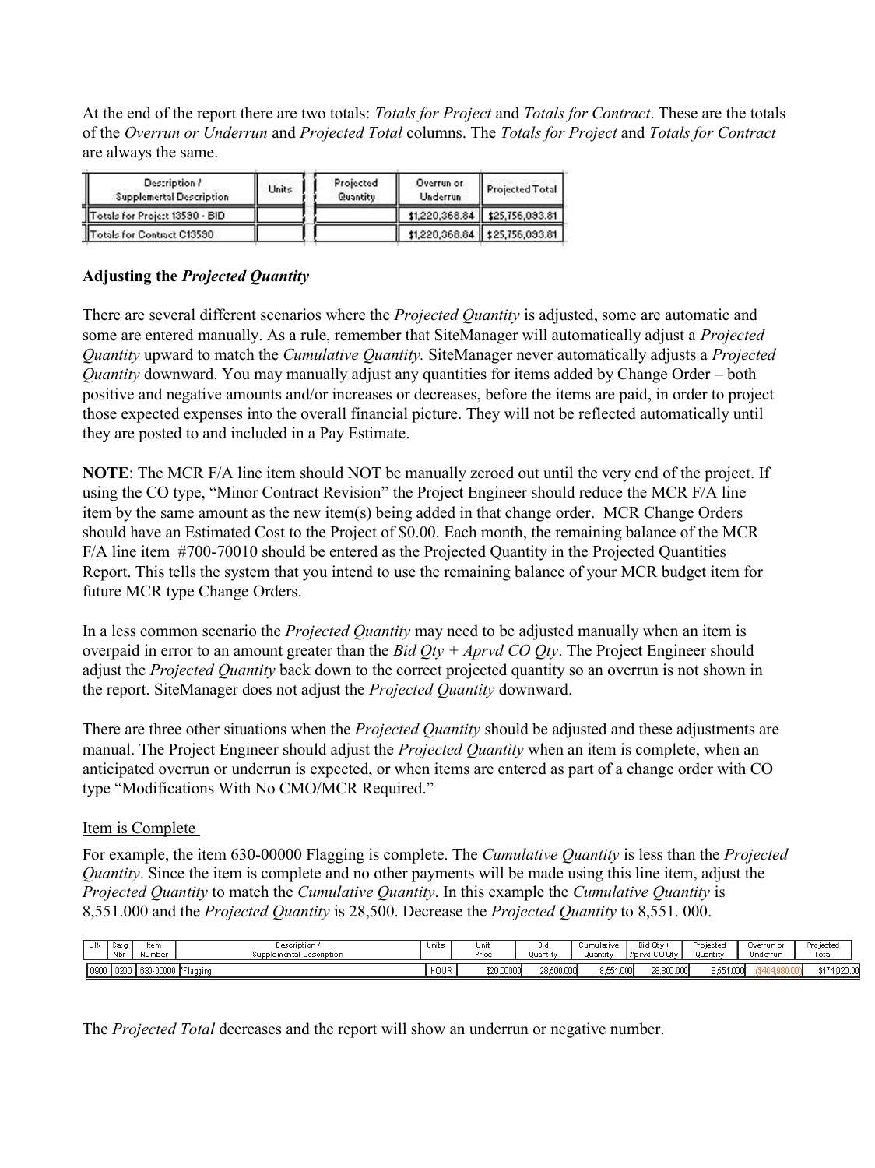At the end of the report there are two totals: *Totals for Project* and *Totals for Contract*. These are the totals of the *Overrun or Underrun* and *Projected Total* columns. The *Totals for Project* and *Totals for Contract*  are always the same.

| Description ?<br><b>Supplemertal Description</b> | Units | Projected<br>Quantitu | Overrun or<br><b>Underrun</b> | Projected Total                   |
|--------------------------------------------------|-------|-----------------------|-------------------------------|-----------------------------------|
| Totals for Project 13590 - BID                   |       |                       |                               | \$1,220,368.84   \$25,756,093.81  |
| Totals for Contract C13590                       |       |                       |                               | \$1,220,368.84    \$25,756,093.81 |

## **Adjusting the** *Projected Quantity*

There are several different scenarios where the *Projected Quantity* is adjusted, some are automatic and some are entered manually. As a rule, remember that SiteManager will automatically adjust a *Projected Quantity* upward to match the *Cumulative Quantity.* SiteManager never automatically adjusts a *Projected Quantity* downward. You may manually adjust any quantities for items added by Change Order – both positive and negative amounts and/or increases or decreases, before the items are paid, in order to project those expected expenses into the overall financial picture. They will not be reflected automatically until they are posted to and included in a Pay Estimate.

**NOTE**: The MCR F/A line item should NOT be manually zeroed out until the very end of the project. If using the CO type, "Minor Contract Revision" the Project Engineer should reduce the MCR F/A line item by the same amount as the new item(s) being added in that change order. MCR Change Orders should have an Estimated Cost to the Project of \$0.00. Each month, the remaining balance of the MCR F/A line item #700-70010 should be entered as the Projected Quantity in the Projected Quantities Report. This tells the system that you intend to use the remaining balance of your MCR budget item for future MCR type Change Orders.

In a less common scenario the *Projected Quantity* may need to be adjusted manually when an item is overpaid in error to an amount greater than the *Bid Qty + Aprvd CO Qty*. The Project Engineer should adjust the *Projected Quantity* back down to the correct projected quantity so an overrun is not shown in the report. SiteManager does not adjust the *Projected Quantity* downward.

There are three other situations when the *Projected Quantity* should be adjusted and these adjustments are manual. The Project Engineer should adjust the *Projected Quantity* when an item is complete, when an anticipated overrun or underrun is expected, or when items are entered as part of a change order with CO type "Modifications With No CMO/MCR Required."

#### Item is Complete

For example, the item 630-00000 Flagging is complete. The *Cumulative Quantity* is less than the *Projected Quantity*. Since the item is complete and no other payments will be made using this line item, adjust the *Projected Quantity* to match the *Cumulative Quantity*. In this example the *Cumulative Quantity* is 8,551.000 and the *Projected Quantity* is 28,500. Decrease the *Projected Quantity* to 8,551. 000.

| LIN  | Catg<br>Nbr | ltem<br>Number     | Description /<br>Supplemental Description | Units | Unit<br>Price | Bic<br>Quantity | Cumulative<br>Juantity | Bid Otv +<br>l Aprvd CO Otv | Pro jected<br>Quantity | Jverrun or<br>Underrur | Pro jected<br>Total |
|------|-------------|--------------------|-------------------------------------------|-------|---------------|-----------------|------------------------|-----------------------------|------------------------|------------------------|---------------------|
| 0900 | 0200 ا ۱    | $  630-00000  $ FF | ir Flaggin                                | HOUR  | \$20,00000    | 28,500.000      | 8,551.000              | 28,800.000                  | 8,551,000              |                        | 1,020.00<br>- PI 1  |

The *Projected Total* decreases and the report will show an underrun or negative number.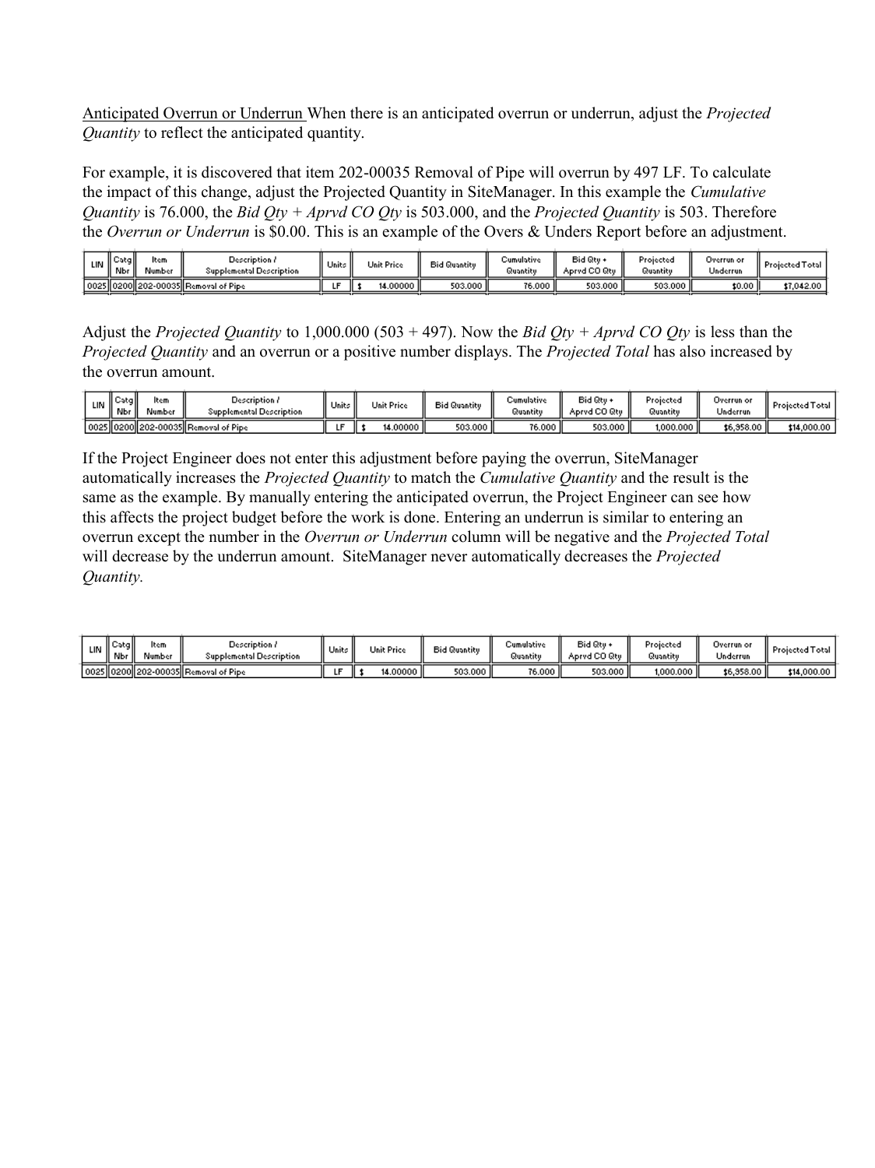Anticipated Overrun or Underrun When there is an anticipated overrun or underrun, adjust the *Projected Quantity* to reflect the anticipated quantity.

For example, it is discovered that item 202-00035 Removal of Pipe will overrun by 497 LF. To calculate the impact of this change, adjust the Projected Quantity in SiteManager. In this example the *Cumulative Quantity* is 76.000, the *Bid Qty + Aprvd CO Qty* is 503.000, and the *Projected Quantity* is 503. Therefore the *Overrun or Underrun* is \$0.00. This is an example of the Overs & Unders Report before an adjustment.

| LIN | ‼C∍tg∥<br>' Nb. | ltem<br>Number | Description /<br>Supplemental Description :  | Units | <b>Unit Price</b> | <b>Bid Quantity</b> | Cumulative<br>Quantiti | Bid Qty +<br>Aprvd CO Qty | Projected<br>Quantity | Overrun or<br>Underrun | Projected Total |
|-----|-----------------|----------------|----------------------------------------------|-------|-------------------|---------------------|------------------------|---------------------------|-----------------------|------------------------|-----------------|
|     |                 |                | 0025    0200    202-00035    Removal of Pipe |       | 14.00000          | 503.000 ll          | 76,000 k               | 503.000                   | 503.000               | \$0.00 ll              | \$7,042.00      |

Adjust the *Projected Quantity* to 1,000.000 (503 + 497). Now the *Bid Qty + Aprvd CO Qty* is less than the *Projected Quantity* and an overrun or a positive number displays. The *Projected Total* has also increased by the overrun amount.

| ll Catall<br><b>UNIN</b> Norm | ltem<br>dumber | Description (<br><b>Supplemental Description</b> | Units | Unit Price | <b>Bid Quantity</b> | Cumulative<br>Quantity | Bid Qtu +<br>Aprvd CO Qtu | Projected<br>Quantity | Overrun or<br>Underrun | Projected Total |
|-------------------------------|----------------|--------------------------------------------------|-------|------------|---------------------|------------------------|---------------------------|-----------------------|------------------------|-----------------|
|                               |                | 0025    0200   202-00035   Removal of Pipe       |       | 14.00000   | 503.000             | 76.000                 | 503.000                   | 1,000.000             | \$6,958.00             | \$14,000.00     |

If the Project Engineer does not enter this adjustment before paying the overrun, SiteManager automatically increases the *Projected Quantity* to match the *Cumulative Quantity* and the result is the same as the example. By manually entering the anticipated overrun, the Project Engineer can see how this affects the project budget before the work is done. Entering an underrun is similar to entering an overrun except the number in the *Overrun or Underrun* column will be negative and the *Projected Total*  will decrease by the underrun amount. SiteManager never automatically decreases the *Projected Quantity.*

| LIN | не.<br>Datal<br>Nbr | ltem<br>Number | Description (<br>Supplemental Description    | <sup>4</sup> Units | Unit Price | <b>Bid Quantity</b> | Cumulative<br>Quantity | Bid Qty +<br>Aprvd CO Qtv | Projected<br>Quantitu | Overrun or<br>Underrun | <b>Projected Total</b> |
|-----|---------------------|----------------|----------------------------------------------|--------------------|------------|---------------------|------------------------|---------------------------|-----------------------|------------------------|------------------------|
|     |                     |                | 0025    0200    202-00035    Removal of Pipe |                    | 14.00000 l | 503.000 ll          | 76.000 j               | 503.000                   | 1,000.000             | \$6,958,00 ll          | \$14,000.00            |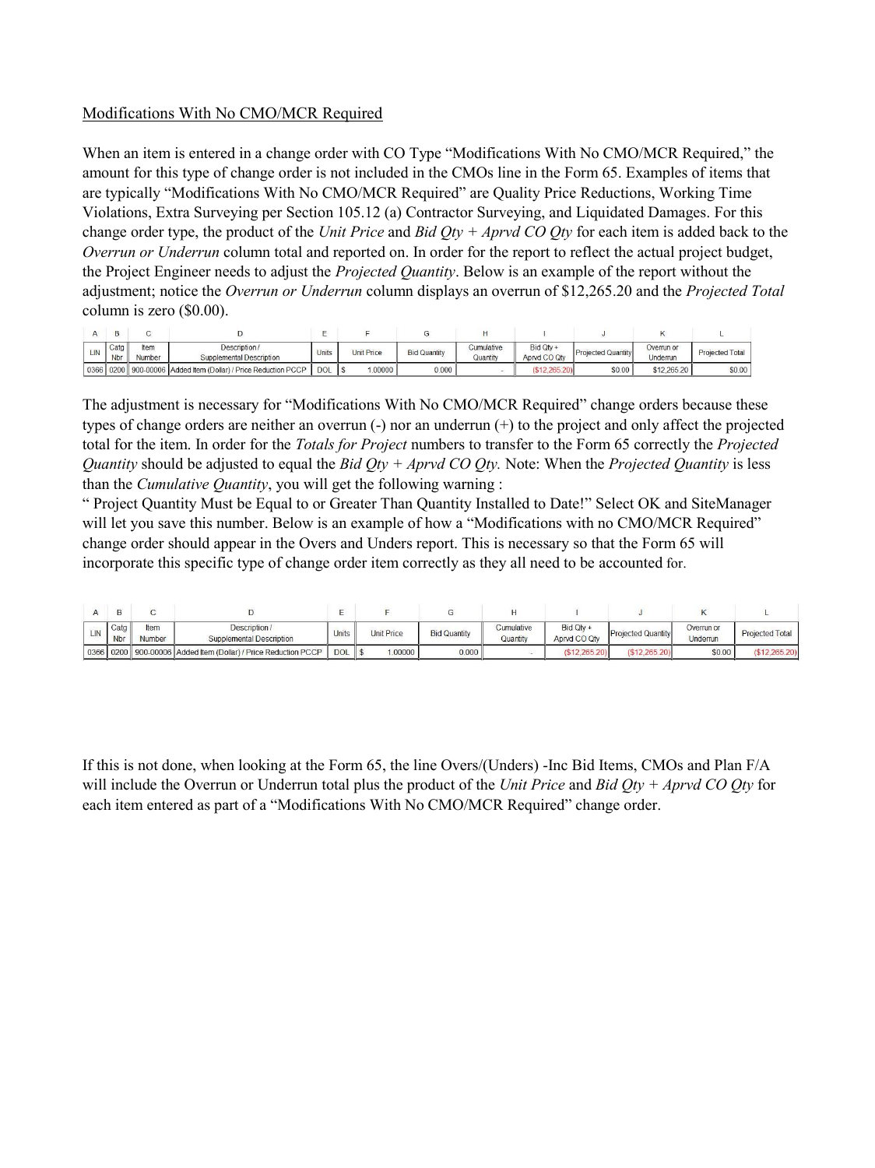## Modifications With No CMO/MCR Required

When an item is entered in a change order with CO Type "Modifications With No CMO/MCR Required," the amount for this type of change order is not included in the CMOs line in the Form 65. Examples of items that are typically "Modifications With No CMO/MCR Required" are Quality Price Reductions, Working Time Violations, Extra Surveying per Section 105.12 (a) Contractor Surveying, and Liquidated Damages. For this change order type, the product of the *Unit Price* and *Bid Qty + Aprvd CO Qty* for each item is added back to the *Overrun or Underrun* column total and reported on. In order for the report to reflect the actual project budget, the Project Engineer needs to adjust the *Projected Quantity*. Below is an example of the report without the adjustment; notice the *Overrun or Underrun* column displays an overrun of \$12,265.20 and the *Projected Total*  column is zero (\$0.00).

| LIN  | Catg<br>Nbr | Item<br>Number | Description /<br>Supplemental Description                 | Units | <b>Unit Price</b> | <b>Bid Quantity</b> | Cumulative<br>Quantity | Bid Qtv +<br>Aprvd CO Qtv | <b>Projected Quantity</b> | Overrun or<br>Underrun | <b>Projected Total</b> |
|------|-------------|----------------|-----------------------------------------------------------|-------|-------------------|---------------------|------------------------|---------------------------|---------------------------|------------------------|------------------------|
| 0366 |             |                | 0200 900-00006 Added Item (Dollar) / Price Reduction PCCP | DOL   | 1.00000           | 0.000               |                        | \$12,265,201              | \$0.00                    | \$12,265.20            | \$0.00                 |

The adjustment is necessary for "Modifications With No CMO/MCR Required" change orders because these types of change orders are neither an overrun (-) nor an underrun (+) to the project and only affect the projected total for the item. In order for the *Totals for Project* numbers to transfer to the Form 65 correctly the *Projected Quantity* should be adjusted to equal the *Bid Qty + Aprvd CO Qty.* Note: When the *Projected Quantity* is less than the *Cumulative Quantity*, you will get the following warning :

" Project Quantity Must be Equal to or Greater Than Quantity Installed to Date!" Select OK and SiteManager will let you save this number. Below is an example of how a "Modifications with no CMO/MCR Required" change order should appear in the Overs and Unders report. This is necessary so that the Form 65 will incorporate this specific type of change order item correctly as they all need to be accounted for.

| LIN | Catg<br><b>Nbr</b> | Item<br>Number | Description /<br><b>Supplemental Description</b>                     | <b>Units</b> | <b>Unit Price</b> | <b>Bid Quantity</b> | Cumulative<br>Quantity | Bid Qtv +<br>Apryd CO Qtv | <b>Projected Quantity</b> | Overrun or<br>Underrun | Projected Total |
|-----|--------------------|----------------|----------------------------------------------------------------------|--------------|-------------------|---------------------|------------------------|---------------------------|---------------------------|------------------------|-----------------|
|     |                    |                | 0366   0200   900-00006   Added Item (Dollar) / Price Reduction PCCP | <b>DOL</b>   | .00000            | 0.000               |                        | $(\$12.265.20)$           | (\$12.265.20)             | \$0.00                 | (512.265.20)    |

If this is not done, when looking at the Form 65, the line Overs/(Unders) -Inc Bid Items, CMOs and Plan F/A will include the Overrun or Underrun total plus the product of the *Unit Price* and *Bid Qty + Aprvd CO Qty* for each item entered as part of a "Modifications With No CMO/MCR Required" change order.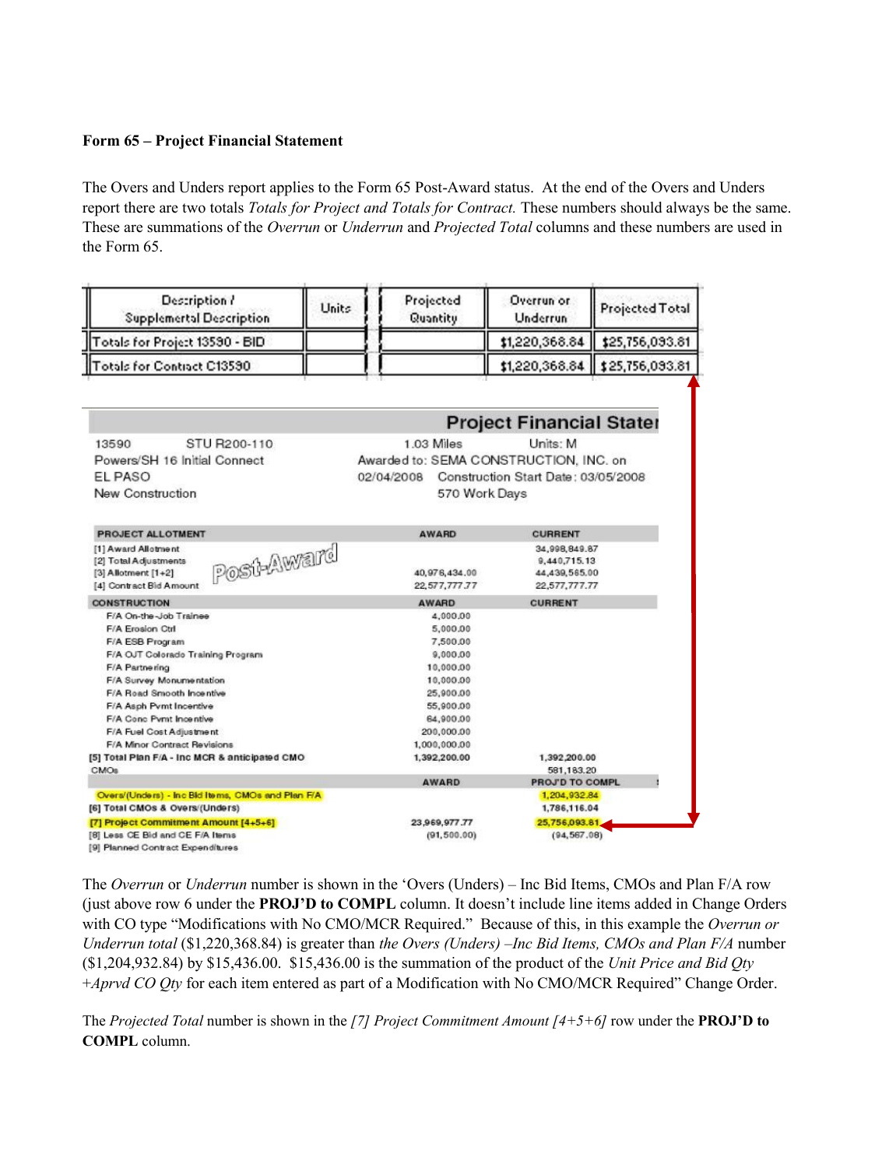#### **Form 65 – Project Financial Statement**

The Overs and Unders report applies to the Form 65 Post-Award status. At the end of the Overs and Unders report there are two totals *Totals for Project and Totals for Contract.* These numbers should always be the same. These are summations of the *Overrun* or *Underrun* and *Projected Total* columns and these numbers are used in the Form 65.

| Description?<br><b>Supplemertal Description</b>   | Units |            | Projected<br>Quantity | Overrun or<br>Underrun                 | Projected Total |  |  |
|---------------------------------------------------|-------|------------|-----------------------|----------------------------------------|-----------------|--|--|
| Totals for Project 13580 - BID                    |       |            |                       | \$1,220,368.84                         | \$25,756,093.81 |  |  |
| Totals for Contract C13590                        |       |            |                       | \$1,220,368.84                         | \$25,756,093.81 |  |  |
|                                                   |       |            |                       | <b>Project Financial Stater</b>        |                 |  |  |
|                                                   |       |            |                       |                                        |                 |  |  |
| STU R200-110<br>13590                             |       |            | 1.03 Miles            | Units: M                               |                 |  |  |
| Powers/SH 16 Initial Connect                      |       |            |                       | Awarded to: SEMA CONSTRUCTION, INC. on |                 |  |  |
| EL PASO                                           |       | 02/04/2008 |                       | Construction Start Date: 03/05/2008    |                 |  |  |
| New Construction                                  |       |            |                       | 570 Work Days                          |                 |  |  |
|                                                   |       |            |                       |                                        |                 |  |  |
| <b>PROJECT ALLOTMENT</b>                          |       |            | <b>AWARD</b>          | <b>CURRENT</b>                         |                 |  |  |
| [1] Award Allotment<br>Post-Award                 |       |            |                       | 34,998,849.87                          |                 |  |  |
| [2] Total Adjustments                             |       |            |                       | 9.440,715,13                           |                 |  |  |
| [3] Allotment [1+2]                               |       |            | 40,976,434.00         | 44,439,565.00                          |                 |  |  |
| [4] Contract Bid Amount                           |       |            | 22,577,777,77         | 22,577,777.77                          |                 |  |  |
| <b>CONSTRUCTION</b>                               |       |            | <b>AWARD</b>          | <b>CURRENT</b>                         |                 |  |  |
| F/A On-the-Job Trainee                            |       |            | 4,000.00              |                                        |                 |  |  |
| F/A Erosion Ctrl                                  |       |            | 5,000.00              |                                        |                 |  |  |
| F/A ESB Program                                   |       |            | 7,500.00              |                                        |                 |  |  |
| F/A OJT Colorado Training Program                 |       |            | 9,000.00              |                                        |                 |  |  |
| F/A Partnering                                    |       |            | 10,000.00             |                                        |                 |  |  |
| F/A Survey Monumentation                          |       |            | 10,000.00             |                                        |                 |  |  |
| F/A Road Smooth Incentive                         |       |            | 25,900.00             |                                        |                 |  |  |
| F/A Asph Pvmt Incentive                           |       |            | 55,900.00             |                                        |                 |  |  |
| F/A Conc Pyrnt Incentive                          |       |            | 64,900.00             |                                        |                 |  |  |
| F/A Fuel Cost Adjustment                          |       |            | 200,000.00            |                                        |                 |  |  |
| F/A Minor Contract Revisions                      |       |            | 1,000,000.00          |                                        |                 |  |  |
| [5] Total Plan F/A - Inc MCR & anticipated CMO    |       |            | 1,392,200.00          | 1,392,200.00                           |                 |  |  |
| CMOs                                              |       |            | <b>AWARD</b>          | 581,183.20<br>PROJ'D TO COMPL          |                 |  |  |
| Overs/(Unders) - Inc Bid Items, CMOs and Plan F/A |       |            |                       | 1,204,932.84                           |                 |  |  |
| [6] Total CMOs & Overs/(Unders)                   |       |            |                       | 1,786,116.04                           |                 |  |  |
| [7] Project Commitment Amount [4+5+6]             |       |            | 23,969,977.77         |                                        | 25,756,093.81   |  |  |
| [8] Less CE Bid and CE F/A Items                  |       |            | (91, 500.00)          |                                        | (94, 567, 08)   |  |  |
| [9] Planned Contract Expenditures                 |       |            |                       |                                        |                 |  |  |

The *Overrun* or *Underrun* number is shown in the 'Overs (Unders) – Inc Bid Items, CMOs and Plan F/A row (just above row 6 under the **PROJ'D to COMPL** column. It doesn't include line items added in Change Orders with CO type "Modifications with No CMO/MCR Required." Because of this, in this example the *Overrun or Underrun total* (\$1,220,368.84) is greater than *the Overs (Unders) –Inc Bid Items, CMOs and Plan F/A* number (\$1,204,932.84) by \$15,436.00. \$15,436.00 is the summation of the product of the *Unit Price and Bid Qty*  +*Aprvd CO Qty* for each item entered as part of a Modification with No CMO/MCR Required" Change Order.

The *Projected Total* number is shown in the *[7] Project Commitment Amount [4+5+6]* row under the **PROJ'D to COMPL** column.